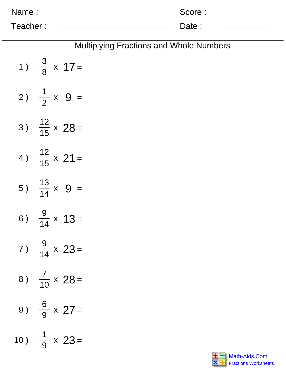| Name:    | Score: |  |
|----------|--------|--|
| Teacher: | Date:  |  |

| <b>Multiplying Fractions and Whole Numbers</b> |
|------------------------------------------------|
| 1) $\frac{3}{8} \times 17 =$                   |
| 2) $\frac{1}{2} \times 9 =$                    |
| 3) $\frac{12}{15} \times 28 =$                 |
| 4) $\frac{12}{15} \times 21 =$                 |
| 5) $\frac{13}{14} \times 9 =$                  |
| 6) $\frac{9}{14} \times 13 =$                  |
| 7) $\frac{9}{14} \times 23 =$                  |
| 8) $\frac{7}{10} \times 28 =$                  |
| 9) $\frac{6}{9} \times 27 =$                   |
| 10) $\frac{1}{9} \times 23 =$                  |